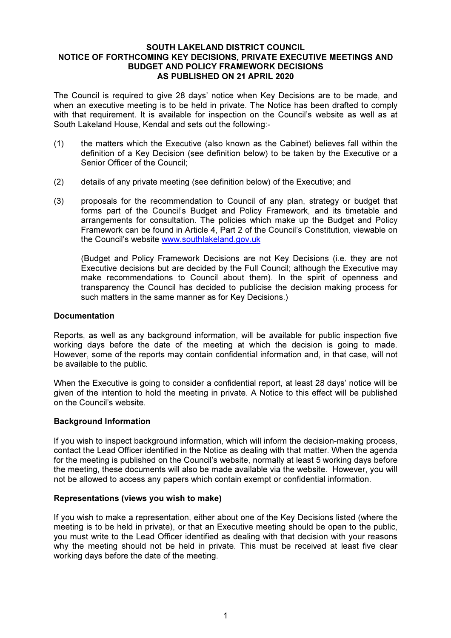#### SOUTH LAKELAND DISTRICT COUNCIL NOTICE OF FORTHCOMING KEY DECISIONS, PRIVATE EXECUTIVE MEETINGS AND BUDGET AND POLICY FRAMEWORK DECISIONS AS PUBLISHED ON 21 APRIL 2020

The Council is required to give 28 days' notice when Key Decisions are to be made, and when an executive meeting is to be held in private. The Notice has been drafted to comply with that requirement. It is available for inspection on the Council's website as well as at South Lakeland House, Kendal and sets out the following:-

- (1) the matters which the Executive (also known as the Cabinet) believes fall within the definition of a Key Decision (see definition below) to be taken by the Executive or a Senior Officer of the Council;
- (2) details of any private meeting (see definition below) of the Executive; and
- (3) proposals for the recommendation to Council of any plan, strategy or budget that forms part of the Council's Budget and Policy Framework, and its timetable and arrangements for consultation. The policies which make up the Budget and Policy Framework can be found in Article 4, Part 2 of the Council's Constitution, viewable on the Council's website www.southlakeland.gov.uk

(Budget and Policy Framework Decisions are not Key Decisions (i.e. they are not Executive decisions but are decided by the Full Council; although the Executive may make recommendations to Council about them). In the spirit of openness and transparency the Council has decided to publicise the decision making process for such matters in the same manner as for Key Decisions.)

### Documentation

Reports, as well as any background information, will be available for public inspection five working days before the date of the meeting at which the decision is going to made. However, some of the reports may contain confidential information and, in that case, will not be available to the public.

When the Executive is going to consider a confidential report, at least 28 days' notice will be given of the intention to hold the meeting in private. A Notice to this effect will be published on the Council's website.

# Background Information

If you wish to inspect background information, which will inform the decision-making process, contact the Lead Officer identified in the Notice as dealing with that matter. When the agenda for the meeting is published on the Council's website, normally at least 5 working days before the meeting, these documents will also be made available via the website. However, you will not be allowed to access any papers which contain exempt or confidential information.

#### Representations (views you wish to make)

If you wish to make a representation, either about one of the Key Decisions listed (where the meeting is to be held in private), or that an Executive meeting should be open to the public, you must write to the Lead Officer identified as dealing with that decision with your reasons why the meeting should not be held in private. This must be received at least five clear working days before the date of the meeting.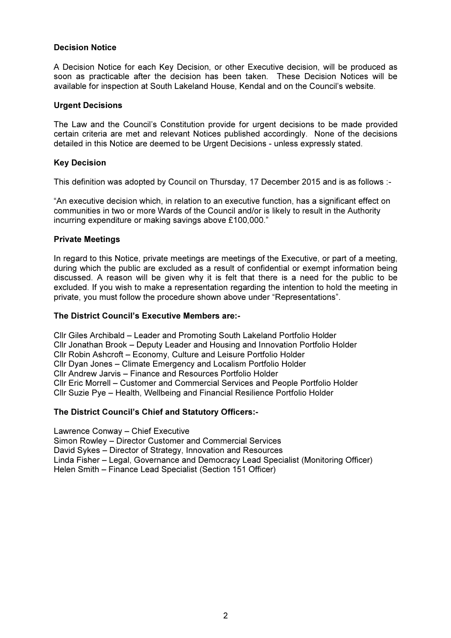# Decision Notice

A Decision Notice for each Key Decision, or other Executive decision, will be produced as soon as practicable after the decision has been taken. These Decision Notices will be available for inspection at South Lakeland House, Kendal and on the Council's website.

## Urgent Decisions

The Law and the Council's Constitution provide for urgent decisions to be made provided certain criteria are met and relevant Notices published accordingly. None of the decisions detailed in this Notice are deemed to be Urgent Decisions - unless expressly stated.

# Key Decision

This definition was adopted by Council on Thursday, 17 December 2015 and is as follows :-

"An executive decision which, in relation to an executive function, has a significant effect on communities in two or more Wards of the Council and/or is likely to result in the Authority incurring expenditure or making savings above £100,000."

### Private Meetings

In regard to this Notice, private meetings are meetings of the Executive, or part of a meeting, during which the public are excluded as a result of confidential or exempt information being discussed. A reason will be given why it is felt that there is a need for the public to be excluded. If you wish to make a representation regarding the intention to hold the meeting in private, you must follow the procedure shown above under "Representations".

#### The District Council's Executive Members are:-

Cllr Giles Archibald – Leader and Promoting South Lakeland Portfolio Holder Cllr Jonathan Brook – Deputy Leader and Housing and Innovation Portfolio Holder Cllr Robin Ashcroft – Economy, Culture and Leisure Portfolio Holder Cllr Dyan Jones – Climate Emergency and Localism Portfolio Holder Cllr Andrew Jarvis – Finance and Resources Portfolio Holder Cllr Eric Morrell – Customer and Commercial Services and People Portfolio Holder Cllr Suzie Pye – Health, Wellbeing and Financial Resilience Portfolio Holder

# The District Council's Chief and Statutory Officers:-

Lawrence Conway – Chief Executive Simon Rowley – Director Customer and Commercial Services David Sykes – Director of Strategy, Innovation and Resources Linda Fisher – Legal, Governance and Democracy Lead Specialist (Monitoring Officer) Helen Smith – Finance Lead Specialist (Section 151 Officer)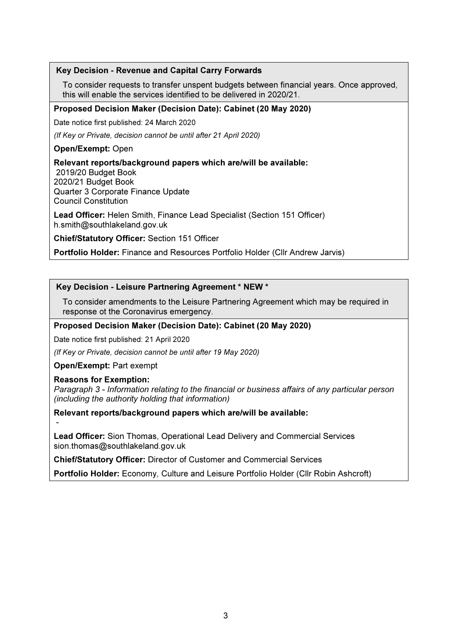# Key Decision - Revenue and Capital Carry Forwards

To consider requests to transfer unspent budgets between financial years. Once approved, this will enable the services identified to be delivered in 2020/21.

### Proposed Decision Maker (Decision Date): Cabinet (20 May 2020)

Date notice first published: 24 March 2020

(If Key or Private, decision cannot be until after 21 April 2020)

## Open/Exempt: Open

### Relevant reports/background papers which are/will be available:

 2019/20 Budget Book 2020/21 Budget Book Quarter 3 Corporate Finance Update Council Constitution

Lead Officer: Helen Smith, Finance Lead Specialist (Section 151 Officer) h.smith@southlakeland.gov.uk

Chief/Statutory Officer: Section 151 Officer

Portfolio Holder: Finance and Resources Portfolio Holder (Cllr Andrew Jarvis)

# Key Decision - Leisure Partnering Agreement \* NEW \*

To consider amendments to the Leisure Partnering Agreement which may be required in response ot the Coronavirus emergency.

#### Proposed Decision Maker (Decision Date): Cabinet (20 May 2020)

Date notice first published: 21 April 2020

(If Key or Private, decision cannot be until after 19 May 2020)

#### Open/Exempt: Part exempt

#### Reasons for Exemption:

-

Paragraph 3 - Information relating to the financial or business affairs of any particular person (including the authority holding that information)

Relevant reports/background papers which are/will be available:

Lead Officer: Sion Thomas, Operational Lead Delivery and Commercial Services sion.thomas@southlakeland.gov.uk

Chief/Statutory Officer: Director of Customer and Commercial Services

Portfolio Holder: Economy, Culture and Leisure Portfolio Holder (Cllr Robin Ashcroft)